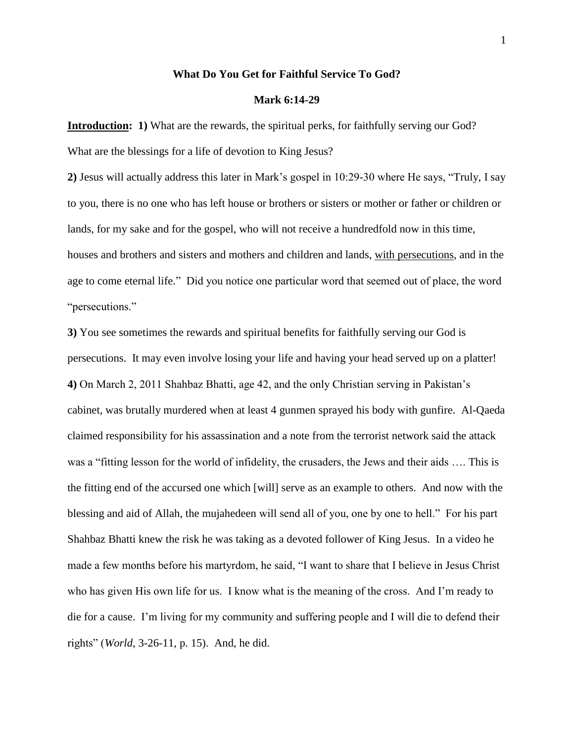### **What Do You Get for Faithful Service To God?**

### **Mark 6:14-29**

**Introduction: 1)** What are the rewards, the spiritual perks, for faithfully serving our God? What are the blessings for a life of devotion to King Jesus?

**2)** Jesus will actually address this later in Mark"s gospel in 10:29-30 where He says, "Truly, I say to you, there is no one who has left house or brothers or sisters or mother or father or children or lands, for my sake and for the gospel, who will not receive a hundredfold now in this time, houses and brothers and sisters and mothers and children and lands, with persecutions, and in the age to come eternal life." Did you notice one particular word that seemed out of place, the word "persecutions."

**3)** You see sometimes the rewards and spiritual benefits for faithfully serving our God is persecutions. It may even involve losing your life and having your head served up on a platter! **4)** On March 2, 2011 Shahbaz Bhatti, age 42, and the only Christian serving in Pakistan"s cabinet, was brutally murdered when at least 4 gunmen sprayed his body with gunfire. Al-Qaeda claimed responsibility for his assassination and a note from the terrorist network said the attack was a "fitting lesson for the world of infidelity, the crusaders, the Jews and their aids …. This is the fitting end of the accursed one which [will] serve as an example to others. And now with the blessing and aid of Allah, the mujahedeen will send all of you, one by one to hell." For his part Shahbaz Bhatti knew the risk he was taking as a devoted follower of King Jesus. In a video he made a few months before his martyrdom, he said, "I want to share that I believe in Jesus Christ who has given His own life for us. I know what is the meaning of the cross. And I"m ready to die for a cause. I"m living for my community and suffering people and I will die to defend their rights" (*World*, 3-26-11, p. 15). And, he did.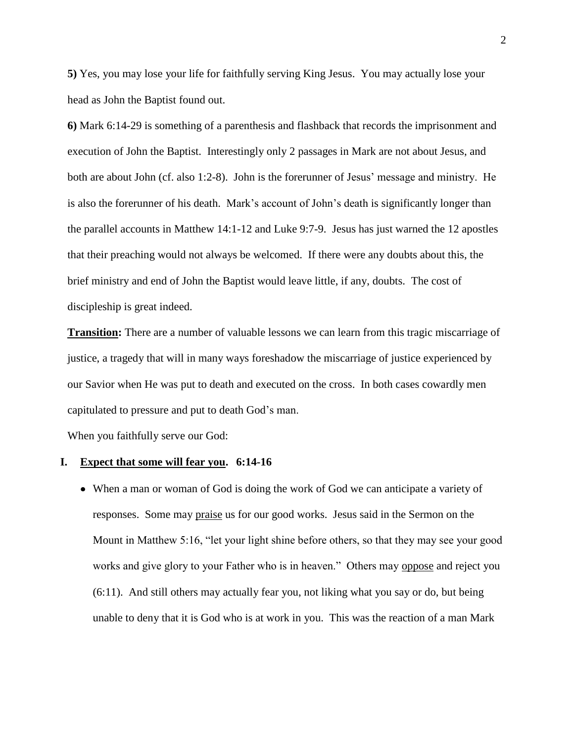**5)** Yes, you may lose your life for faithfully serving King Jesus. You may actually lose your head as John the Baptist found out.

**6)** Mark 6:14-29 is something of a parenthesis and flashback that records the imprisonment and execution of John the Baptist. Interestingly only 2 passages in Mark are not about Jesus, and both are about John (cf. also 1:2-8). John is the forerunner of Jesus" message and ministry. He is also the forerunner of his death. Mark"s account of John"s death is significantly longer than the parallel accounts in Matthew 14:1-12 and Luke 9:7-9. Jesus has just warned the 12 apostles that their preaching would not always be welcomed. If there were any doubts about this, the brief ministry and end of John the Baptist would leave little, if any, doubts. The cost of discipleship is great indeed.

**Transition:** There are a number of valuable lessons we can learn from this tragic miscarriage of justice, a tragedy that will in many ways foreshadow the miscarriage of justice experienced by our Savior when He was put to death and executed on the cross. In both cases cowardly men capitulated to pressure and put to death God"s man.

When you faithfully serve our God:

#### **I. Expect that some will fear you. 6:14-16**

When a man or woman of God is doing the work of God we can anticipate a variety of responses. Some may praise us for our good works. Jesus said in the Sermon on the Mount in Matthew 5:16, "let your light shine before others, so that they may see your good works and give glory to your Father who is in heaven." Others may oppose and reject you (6:11). And still others may actually fear you, not liking what you say or do, but being unable to deny that it is God who is at work in you. This was the reaction of a man Mark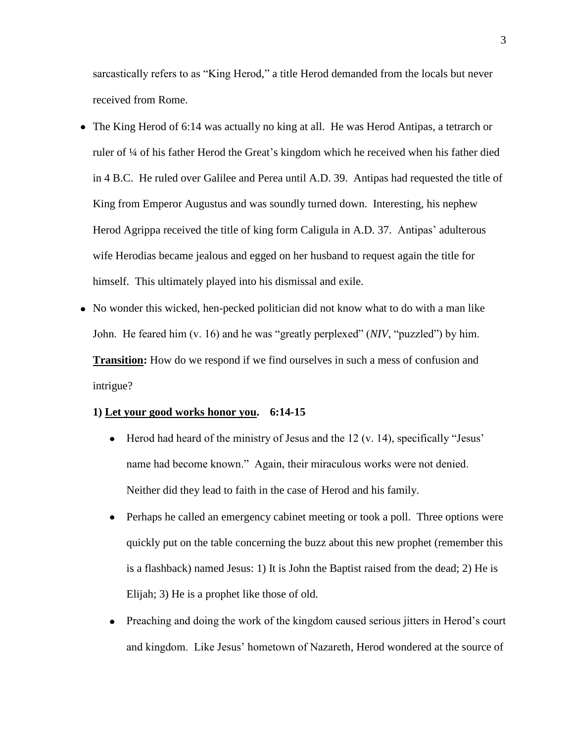sarcastically refers to as "King Herod," a title Herod demanded from the locals but never received from Rome.

- The King Herod of 6:14 was actually no king at all. He was Herod Antipas, a tetrarch or ruler of ¼ of his father Herod the Great"s kingdom which he received when his father died in 4 B.C. He ruled over Galilee and Perea until A.D. 39. Antipas had requested the title of King from Emperor Augustus and was soundly turned down. Interesting, his nephew Herod Agrippa received the title of king form Caligula in A.D. 37. Antipas' adulterous wife Herodias became jealous and egged on her husband to request again the title for himself. This ultimately played into his dismissal and exile.
- No wonder this wicked, hen-pecked politician did not know what to do with a man like John. He feared him (v. 16) and he was "greatly perplexed" (*NIV*, "puzzled") by him. **Transition:** How do we respond if we find ourselves in such a mess of confusion and intrigue?

# **1) Let your good works honor you. 6:14-15**

- $\bullet$  Herod had heard of the ministry of Jesus and the 12 (v. 14), specifically "Jesus" name had become known." Again, their miraculous works were not denied. Neither did they lead to faith in the case of Herod and his family.
- Perhaps he called an emergency cabinet meeting or took a poll. Three options were  $\bullet$ quickly put on the table concerning the buzz about this new prophet (remember this is a flashback) named Jesus: 1) It is John the Baptist raised from the dead; 2) He is Elijah; 3) He is a prophet like those of old.
- Preaching and doing the work of the kingdom caused serious jitters in Herod"s court  $\bullet$ and kingdom. Like Jesus" hometown of Nazareth, Herod wondered at the source of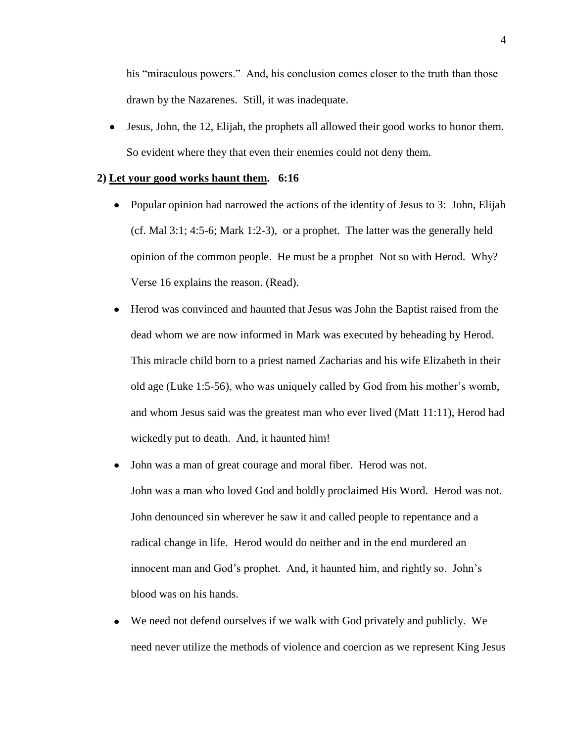his "miraculous powers." And, his conclusion comes closer to the truth than those drawn by the Nazarenes. Still, it was inadequate.

Jesus, John, the 12, Elijah, the prophets all allowed their good works to honor them.  $\bullet$ So evident where they that even their enemies could not deny them.

#### **2) Let your good works haunt them. 6:16**

- Popular opinion had narrowed the actions of the identity of Jesus to 3: John, Elijah (cf. Mal 3:1; 4:5-6; Mark 1:2-3), or a prophet. The latter was the generally held opinion of the common people. He must be a prophet Not so with Herod. Why? Verse 16 explains the reason. (Read).
- Herod was convinced and haunted that Jesus was John the Baptist raised from the  $\bullet$ dead whom we are now informed in Mark was executed by beheading by Herod. This miracle child born to a priest named Zacharias and his wife Elizabeth in their old age (Luke 1:5-56), who was uniquely called by God from his mother"s womb, and whom Jesus said was the greatest man who ever lived (Matt 11:11), Herod had wickedly put to death. And, it haunted him!
- John was a man of great courage and moral fiber. Herod was not.  $\bullet$ John was a man who loved God and boldly proclaimed His Word. Herod was not. John denounced sin wherever he saw it and called people to repentance and a radical change in life. Herod would do neither and in the end murdered an innocent man and God's prophet. And, it haunted him, and rightly so. John's blood was on his hands.
- We need not defend ourselves if we walk with God privately and publicly. We  $\bullet$ need never utilize the methods of violence and coercion as we represent King Jesus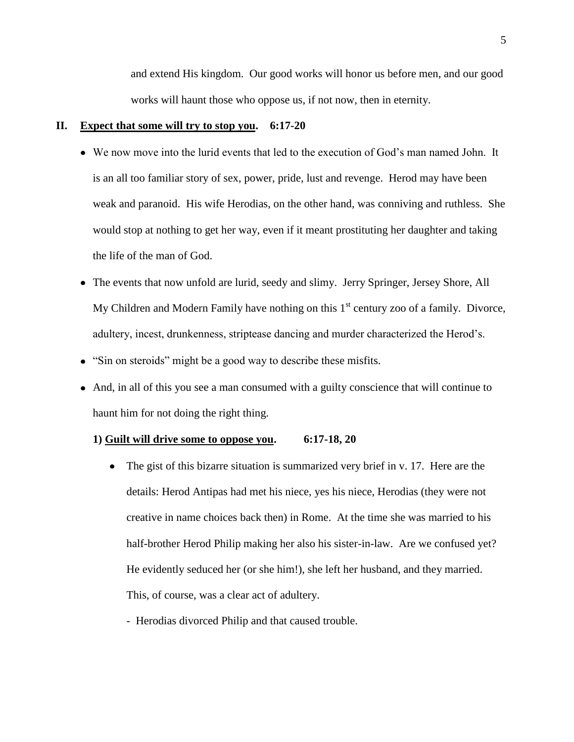and extend His kingdom. Our good works will honor us before men, and our good works will haunt those who oppose us, if not now, then in eternity.

# **II. Expect that some will try to stop you. 6:17-20**

- We now move into the lurid events that led to the execution of God"s man named John. It is an all too familiar story of sex, power, pride, lust and revenge. Herod may have been weak and paranoid. His wife Herodias, on the other hand, was conniving and ruthless. She would stop at nothing to get her way, even if it meant prostituting her daughter and taking the life of the man of God.
- The events that now unfold are lurid, seedy and slimy. Jerry Springer, Jersey Shore, All My Children and Modern Family have nothing on this  $1<sup>st</sup>$  century zoo of a family. Divorce, adultery, incest, drunkenness, striptease dancing and murder characterized the Herod"s.
- "Sin on steroids" might be a good way to describe these misfits.
- And, in all of this you see a man consumed with a guilty conscience that will continue to haunt him for not doing the right thing.

## **1) Guilt will drive some to oppose you. 6:17-18, 20**

- The gist of this bizarre situation is summarized very brief in v. 17. Here are the details: Herod Antipas had met his niece, yes his niece, Herodias (they were not creative in name choices back then) in Rome. At the time she was married to his half-brother Herod Philip making her also his sister-in-law. Are we confused yet? He evidently seduced her (or she him!), she left her husband, and they married. This, of course, was a clear act of adultery.
	- Herodias divorced Philip and that caused trouble.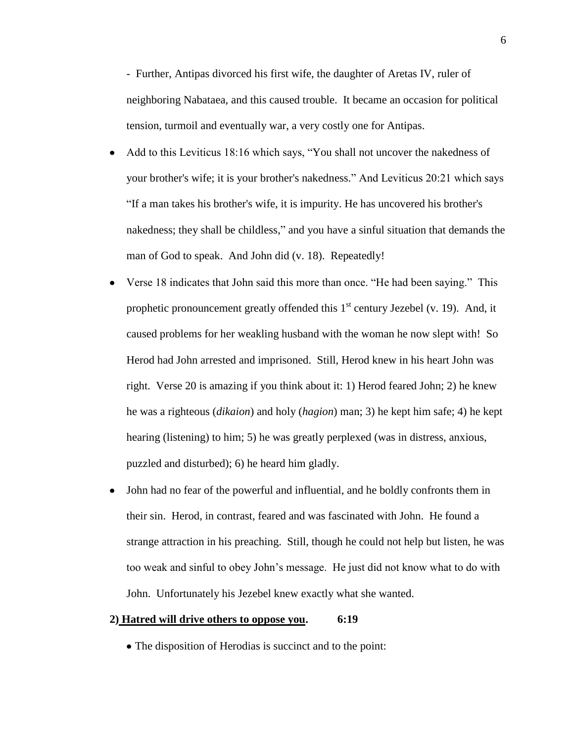- Further, Antipas divorced his first wife, the daughter of Aretas IV, ruler of neighboring Nabataea, and this caused trouble. It became an occasion for political tension, turmoil and eventually war, a very costly one for Antipas.

- Add to this Leviticus 18:16 which says, "You shall not uncover the nakedness of  $\bullet$ your brother's wife; it is your brother's nakedness." And Leviticus 20:21 which says "If a man takes his brother's wife, it is impurity. He has uncovered his brother's nakedness; they shall be childless," and you have a sinful situation that demands the man of God to speak. And John did (v. 18). Repeatedly!
- Verse 18 indicates that John said this more than once. "He had been saying." This  $\bullet$ prophetic pronouncement greatly offended this  $1<sup>st</sup>$  century Jezebel (v. 19). And, it caused problems for her weakling husband with the woman he now slept with! So Herod had John arrested and imprisoned. Still, Herod knew in his heart John was right. Verse 20 is amazing if you think about it: 1) Herod feared John; 2) he knew he was a righteous (*dikaion*) and holy (*hagion*) man; 3) he kept him safe; 4) he kept hearing (listening) to him; 5) he was greatly perplexed (was in distress, anxious, puzzled and disturbed); 6) he heard him gladly.
- John had no fear of the powerful and influential, and he boldly confronts them in  $\bullet$ their sin. Herod, in contrast, feared and was fascinated with John. He found a strange attraction in his preaching. Still, though he could not help but listen, he was too weak and sinful to obey John"s message. He just did not know what to do with John. Unfortunately his Jezebel knew exactly what she wanted.

#### **2) Hatred will drive others to oppose you. 6:19**

The disposition of Herodias is succinct and to the point: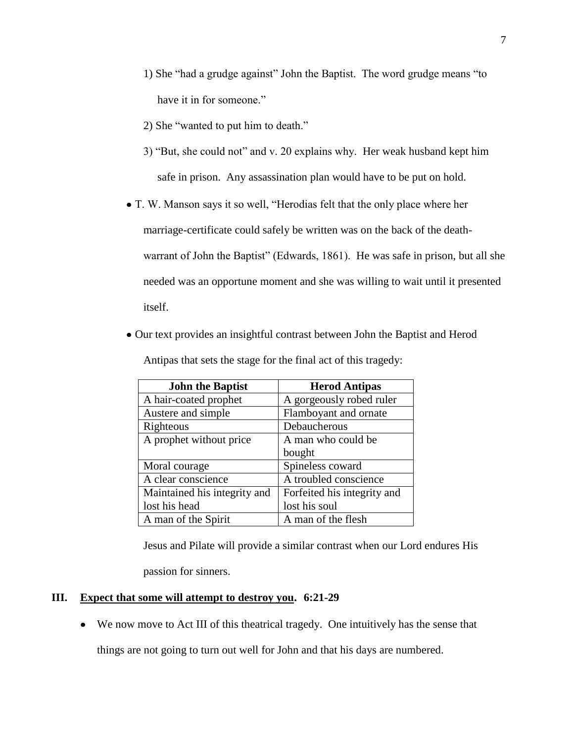- 1) She "had a grudge against" John the Baptist. The word grudge means "to have it in for someone."
- 2) She "wanted to put him to death."
- 3) "But, she could not" and v. 20 explains why. Her weak husband kept him safe in prison. Any assassination plan would have to be put on hold.

T. W. Manson says it so well, "Herodias felt that the only place where her marriage-certificate could safely be written was on the back of the deathwarrant of John the Baptist" (Edwards, 1861). He was safe in prison, but all she needed was an opportune moment and she was willing to wait until it presented itself.

Our text provides an insightful contrast between John the Baptist and Herod

| <b>John the Baptist</b>      | <b>Herod Antipas</b>        |
|------------------------------|-----------------------------|
| A hair-coated prophet        | A gorgeously robed ruler    |
| Austere and simple           | Flamboyant and ornate       |
| Righteous                    | Debaucherous                |
| A prophet without price      | A man who could be          |
|                              | bought                      |
| Moral courage                | Spineless coward            |
| A clear conscience           | A troubled conscience       |
| Maintained his integrity and | Forfeited his integrity and |
| lost his head                | lost his soul               |
| A man of the Spirit          | A man of the flesh          |

Antipas that sets the stage for the final act of this tragedy:

Jesus and Pilate will provide a similar contrast when our Lord endures His

passion for sinners.

# **III. Expect that some will attempt to destroy you. 6:21-29**

We now move to Act III of this theatrical tragedy. One intuitively has the sense that  $\bullet$ 

things are not going to turn out well for John and that his days are numbered.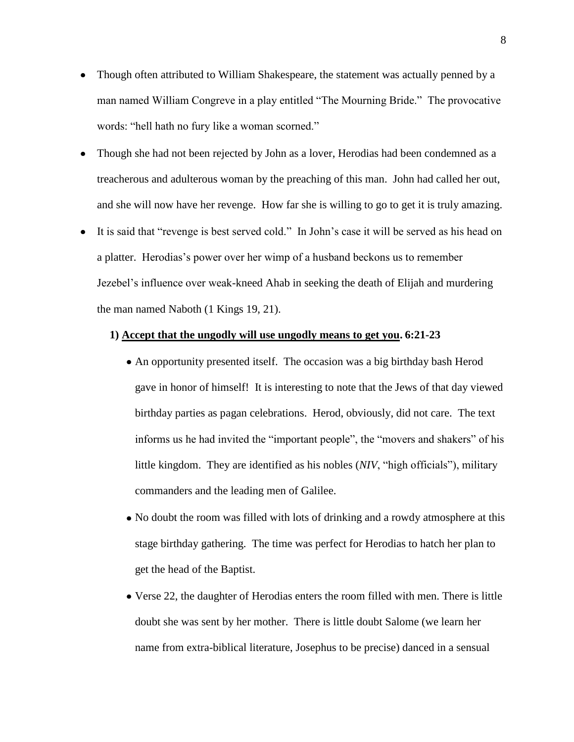- Though often attributed to William Shakespeare, the statement was actually penned by a  $\bullet$ man named William Congreve in a play entitled "The Mourning Bride." The provocative words: "hell hath no fury like a woman scorned."
- $\bullet$ Though she had not been rejected by John as a lover, Herodias had been condemned as a treacherous and adulterous woman by the preaching of this man. John had called her out, and she will now have her revenge. How far she is willing to go to get it is truly amazing.
- It is said that "revenge is best served cold." In John"s case it will be served as his head on  $\bullet$ a platter. Herodias"s power over her wimp of a husband beckons us to remember Jezebel"s influence over weak-kneed Ahab in seeking the death of Elijah and murdering the man named Naboth (1 Kings 19, 21).

## **1) Accept that the ungodly will use ungodly means to get you. 6:21-23**

- An opportunity presented itself. The occasion was a big birthday bash Herod gave in honor of himself! It is interesting to note that the Jews of that day viewed birthday parties as pagan celebrations. Herod, obviously, did not care. The text informs us he had invited the "important people", the "movers and shakers" of his little kingdom. They are identified as his nobles (*NIV*, "high officials"), military commanders and the leading men of Galilee.
- No doubt the room was filled with lots of drinking and a rowdy atmosphere at this stage birthday gathering. The time was perfect for Herodias to hatch her plan to get the head of the Baptist.
- Verse 22, the daughter of Herodias enters the room filled with men. There is little doubt she was sent by her mother. There is little doubt Salome (we learn her name from extra-biblical literature, Josephus to be precise) danced in a sensual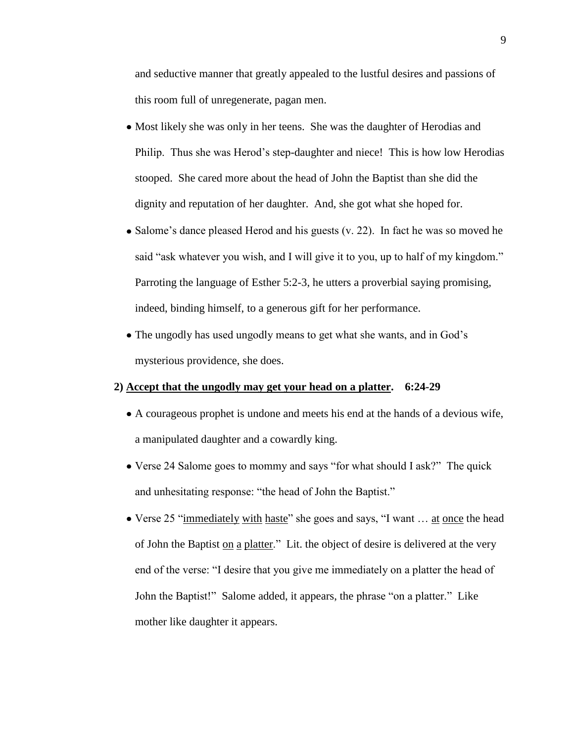and seductive manner that greatly appealed to the lustful desires and passions of this room full of unregenerate, pagan men.

- Most likely she was only in her teens. She was the daughter of Herodias and Philip. Thus she was Herod"s step-daughter and niece! This is how low Herodias stooped. She cared more about the head of John the Baptist than she did the dignity and reputation of her daughter. And, she got what she hoped for.
- Salome's dance pleased Herod and his guests  $(v, 22)$ . In fact he was so moved he said "ask whatever you wish, and I will give it to you, up to half of my kingdom." Parroting the language of Esther 5:2-3, he utters a proverbial saying promising, indeed, binding himself, to a generous gift for her performance.
- The ungodly has used ungodly means to get what she wants, and in God's mysterious providence, she does.

### **2) Accept that the ungodly may get your head on a platter. 6:24-29**

- A courageous prophet is undone and meets his end at the hands of a devious wife, a manipulated daughter and a cowardly king.
- Verse 24 Salome goes to mommy and says "for what should I ask?" The quick and unhesitating response: "the head of John the Baptist."
- Verse 25 "immediately with haste" she goes and says, "I want … at once the head of John the Baptist on a platter." Lit. the object of desire is delivered at the very end of the verse: "I desire that you give me immediately on a platter the head of John the Baptist!" Salome added, it appears, the phrase "on a platter." Like mother like daughter it appears.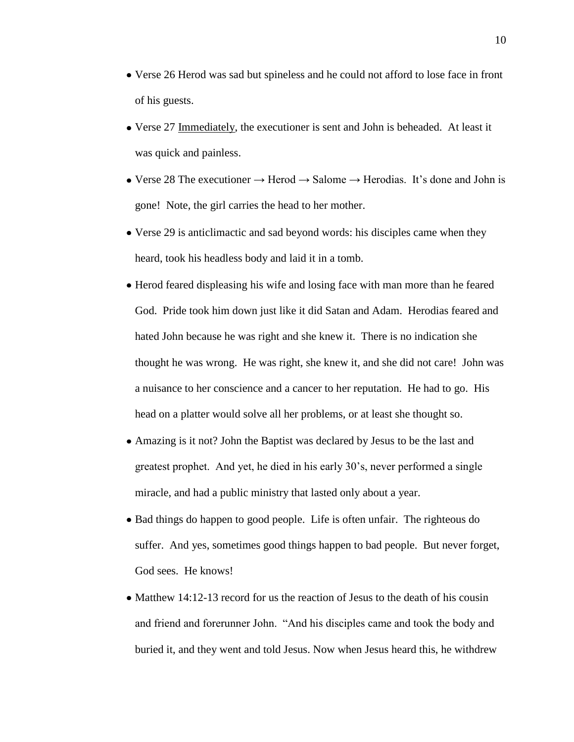- Verse 26 Herod was sad but spineless and he could not afford to lose face in front of his guests.
- Verse 27 Immediately, the executioner is sent and John is beheaded. At least it was quick and painless.
- Verse 28 The executioner  $\rightarrow$  Herod  $\rightarrow$  Salome  $\rightarrow$  Herodias. It's done and John is gone! Note, the girl carries the head to her mother.
- Verse 29 is anticlimactic and sad beyond words: his disciples came when they heard, took his headless body and laid it in a tomb.
- Herod feared displeasing his wife and losing face with man more than he feared God. Pride took him down just like it did Satan and Adam. Herodias feared and hated John because he was right and she knew it. There is no indication she thought he was wrong. He was right, she knew it, and she did not care! John was a nuisance to her conscience and a cancer to her reputation. He had to go. His head on a platter would solve all her problems, or at least she thought so.
- Amazing is it not? John the Baptist was declared by Jesus to be the last and greatest prophet. And yet, he died in his early 30"s, never performed a single miracle, and had a public ministry that lasted only about a year.
- Bad things do happen to good people. Life is often unfair. The righteous do suffer. And yes, sometimes good things happen to bad people. But never forget, God sees. He knows!
- Matthew 14:12-13 record for us the reaction of Jesus to the death of his cousin and friend and forerunner John. "And his disciples came and took the body and buried it, and they went and told Jesus. Now when Jesus heard this, he withdrew